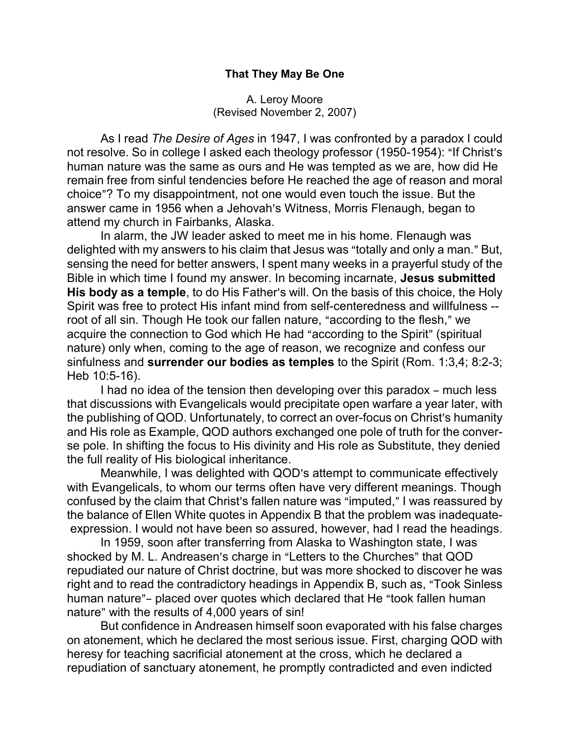### That They May Be One

#### A. Leroy Moore (Revised November 2, 2007)

As I read The Desire of Ages in 1947, I was confronted by a paradox I could not resolve. So in college I asked each theology professor (1950-1954): "If Christ's human nature was the same as ours and He was tempted as we are, how did He remain free from sinful tendencies before He reached the age of reason and moral choice"? To my disappointment, not one would even touch the issue. But the answer came in 1956 when a Jehovah's Witness, Morris Flenaugh, began to attend my church in Fairbanks, Alaska.

In alarm, the JW leader asked to meet me in his home. Flenaugh was delighted with my answers to his claim that Jesus was "totally and only a man." But, sensing the need for better answers, I spent many weeks in a prayerful study of the Bible in which time I found my answer. In becoming incarnate, Jesus submitted His body as a temple, to do His Father's will. On the basis of this choice, the Holy Spirit was free to protect His infant mind from self-centeredness and willfulness - root of all sin. Though He took our fallen nature, "according to the flesh," we acquire the connection to God which He had "according to the Spirit" (spiritual nature) only when, coming to the age of reason, we recognize and confess our sinfulness and surrender our bodies as temples to the Spirit (Rom. 1:3,4; 8:2-3; Heb 10:5-16).

I had no idea of the tension then developing over this paradox – much less that discussions with Evangelicals would precipitate open warfare a year later, with the publishing of QOD. Unfortunately, to correct an over-focus on Christ's humanity and His role as Example, QOD authors exchanged one pole of truth for the converse pole. In shifting the focus to His divinity and His role as Substitute, they denied the full reality of His biological inheritance.

Meanwhile, I was delighted with QOD's attempt to communicate effectively with Evangelicals, to whom our terms often have very different meanings. Though confused by the claim that Christ's fallen nature was "imputed," I was reassured by the balance of Ellen White quotes in Appendix B that the problem was inadequate expression. I would not have been so assured, however, had I read the headings.

In 1959, soon after transferring from Alaska to Washington state, I was shocked by M. L. Andreasen's charge in "Letters to the Churches" that QOD repudiated our nature of Christ doctrine, but was more shocked to discover he was right and to read the contradictory headings in Appendix B, such as, "Took Sinless human nature"- placed over quotes which declared that He "took fallen human nature" with the results of 4,000 years of sin!

But confidence in Andreasen himself soon evaporated with his false charges on atonement, which he declared the most serious issue. First, charging QOD with heresy for teaching sacrificial atonement at the cross, which he declared a repudiation of sanctuary atonement, he promptly contradicted and even indicted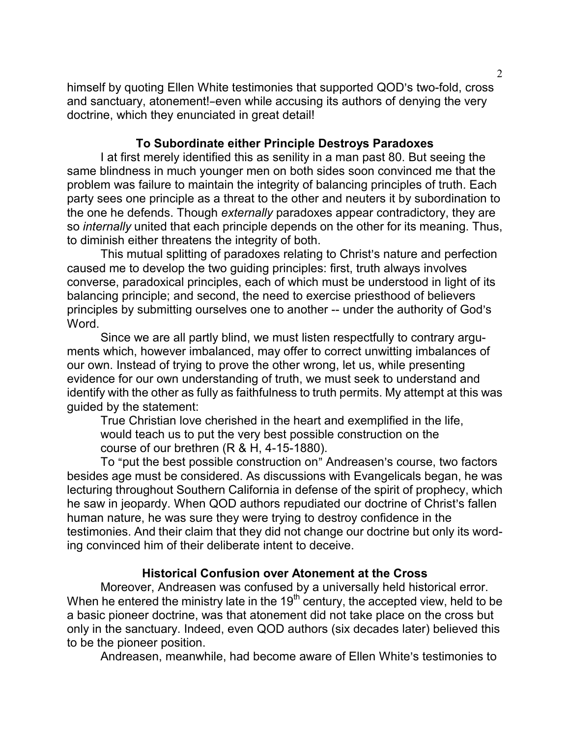himself by quoting Ellen White testimonies that supported QOD's two-fold, cross and sanctuary, atonement!-even while accusing its authors of denying the very doctrine, which they enunciated in great detail!

# To Subordinate either Principle Destroys Paradoxes

I at first merely identified this as senility in a man past 80. But seeing the same blindness in much younger men on both sides soon convinced me that the problem was failure to maintain the integrity of balancing principles of truth. Each party sees one principle as a threat to the other and neuters it by subordination to the one he defends. Though externally paradoxes appear contradictory, they are so internally united that each principle depends on the other for its meaning. Thus, to diminish either threatens the integrity of both.

This mutual splitting of paradoxes relating to Christ's nature and perfection caused me to develop the two guiding principles: first, truth always involves converse, paradoxical principles, each of which must be understood in light of its balancing principle; and second, the need to exercise priesthood of believers principles by submitting ourselves one to another -- under the authority of God's Word.

Since we are all partly blind, we must listen respectfully to contrary arguments which, however imbalanced, may offer to correct unwitting imbalances of our own. Instead of trying to prove the other wrong, let us, while presenting evidence for our own understanding of truth, we must seek to understand and identify with the other as fully as faithfulness to truth permits. My attempt at this was guided by the statement:

True Christian love cherished in the heart and exemplified in the life, would teach us to put the very best possible construction on the course of our brethren (R & H, 4-15-1880).

To "put the best possible construction on" Andreasen's course, two factors besides age must be considered. As discussions with Evangelicals began, he was lecturing throughout Southern California in defense of the spirit of prophecy, which he saw in jeopardy. When QOD authors repudiated our doctrine of Christ's fallen human nature, he was sure they were trying to destroy confidence in the testimonies. And their claim that they did not change our doctrine but only its wording convinced him of their deliberate intent to deceive.

# Historical Confusion over Atonement at the Cross

Moreover, Andreasen was confused by a universally held historical error. When he entered the ministry late in the  $19<sup>th</sup>$  century, the accepted view, held to be a basic pioneer doctrine, was that atonement did not take place on the cross but only in the sanctuary. Indeed, even QOD authors (six decades later) believed this to be the pioneer position.

Andreasen, meanwhile, had become aware of Ellen White's testimonies to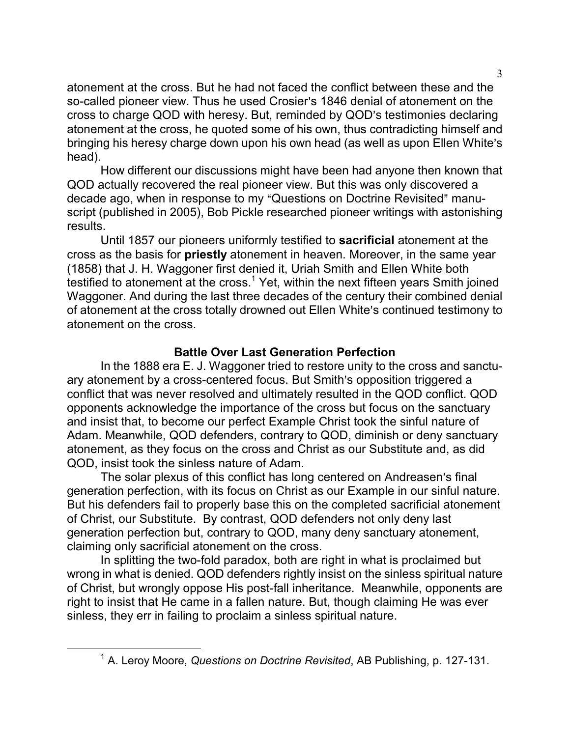atonement at the cross. But he had not faced the conflict between these and the so-called pioneer view. Thus he used Crosier's 1846 denial of atonement on the cross to charge QOD with heresy. But, reminded by QOD's testimonies declaring atonement at the cross, he quoted some of his own, thus contradicting himself and bringing his heresy charge down upon his own head (as well as upon Ellen White's head).

How different our discussions might have been had anyone then known that QOD actually recovered the real pioneer view. But this was only discovered a decade ago, when in response to my "Questions on Doctrine Revisited" manuscript (published in 2005), Bob Pickle researched pioneer writings with astonishing results.

Until 1857 our pioneers uniformly testified to sacrificial atonement at the cross as the basis for priestly atonement in heaven. Moreover, in the same year (1858) that J. H. Waggoner first denied it, Uriah Smith and Ellen White both testified to atonement at the cross.<sup>1</sup> Yet, within the next fifteen years Smith joined Waggoner. And during the last three decades of the century their combined denial of atonement at the cross totally drowned out Ellen White's continued testimony to atonement on the cross.

# Battle Over Last Generation Perfection

In the 1888 era E. J. Waggoner tried to restore unity to the cross and sanctuary atonement by a cross-centered focus. But Smith's opposition triggered a conflict that was never resolved and ultimately resulted in the QOD conflict. QOD opponents acknowledge the importance of the cross but focus on the sanctuary and insist that, to become our perfect Example Christ took the sinful nature of Adam. Meanwhile, QOD defenders, contrary to QOD, diminish or deny sanctuary atonement, as they focus on the cross and Christ as our Substitute and, as did QOD, insist took the sinless nature of Adam.

The solar plexus of this conflict has long centered on Andreasen's final generation perfection, with its focus on Christ as our Example in our sinful nature. But his defenders fail to properly base this on the completed sacrificial atonement of Christ, our Substitute. By contrast, QOD defenders not only deny last generation perfection but, contrary to QOD, many deny sanctuary atonement, claiming only sacrificial atonement on the cross.

In splitting the two-fold paradox, both are right in what is proclaimed but wrong in what is denied. QOD defenders rightly insist on the sinless spiritual nature of Christ, but wrongly oppose His post-fall inheritance. Meanwhile, opponents are right to insist that He came in a fallen nature. But, though claiming He was ever sinless, they err in failing to proclaim a sinless spiritual nature.

 $\overline{a}$ 

<sup>&</sup>lt;sup>1</sup> A. Leroy Moore, Questions on Doctrine Revisited, AB Publishing, p. 127-131.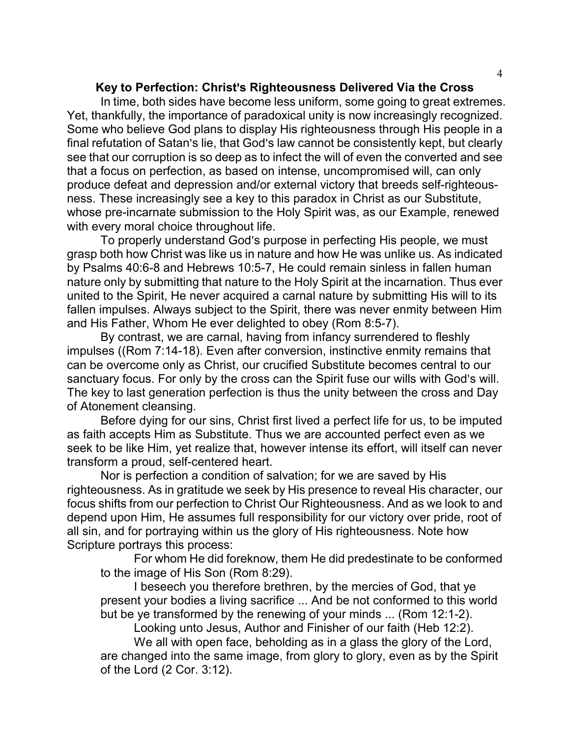### Key to Perfection: Christ's Righteousness Delivered Via the Cross

In time, both sides have become less uniform, some going to great extremes. Yet, thankfully, the importance of paradoxical unity is now increasingly recognized. Some who believe God plans to display His righteousness through His people in a final refutation of Satan's lie, that God's law cannot be consistently kept, but clearly see that our corruption is so deep as to infect the will of even the converted and see that a focus on perfection, as based on intense, uncompromised will, can only produce defeat and depression and/or external victory that breeds self-righteousness. These increasingly see a key to this paradox in Christ as our Substitute, whose pre-incarnate submission to the Holy Spirit was, as our Example, renewed with every moral choice throughout life.

To properly understand God's purpose in perfecting His people, we must grasp both how Christ was like us in nature and how He was unlike us. As indicated by Psalms 40:6-8 and Hebrews 10:5-7, He could remain sinless in fallen human nature only by submitting that nature to the Holy Spirit at the incarnation. Thus ever united to the Spirit, He never acquired a carnal nature by submitting His will to its fallen impulses. Always subject to the Spirit, there was never enmity between Him and His Father, Whom He ever delighted to obey (Rom 8:5-7).

By contrast, we are carnal, having from infancy surrendered to fleshly impulses ((Rom 7:14-18). Even after conversion, instinctive enmity remains that can be overcome only as Christ, our crucified Substitute becomes central to our sanctuary focus. For only by the cross can the Spirit fuse our wills with God's will. The key to last generation perfection is thus the unity between the cross and Day of Atonement cleansing.

Before dying for our sins, Christ first lived a perfect life for us, to be imputed as faith accepts Him as Substitute. Thus we are accounted perfect even as we seek to be like Him, yet realize that, however intense its effort, will itself can never transform a proud, self-centered heart.

Nor is perfection a condition of salvation; for we are saved by His righteousness. As in gratitude we seek by His presence to reveal His character, our focus shifts from our perfection to Christ Our Righteousness. And as we look to and depend upon Him, He assumes full responsibility for our victory over pride, root of all sin, and for portraying within us the glory of His righteousness. Note how Scripture portrays this process:

For whom He did foreknow, them He did predestinate to be conformed to the image of His Son (Rom 8:29).

I beseech you therefore brethren, by the mercies of God, that ye present your bodies a living sacrifice ... And be not conformed to this world but be ye transformed by the renewing of your minds ... (Rom 12:1-2).

Looking unto Jesus, Author and Finisher of our faith (Heb 12:2).

We all with open face, beholding as in a glass the glory of the Lord, are changed into the same image, from glory to glory, even as by the Spirit of the Lord (2 Cor. 3:12).